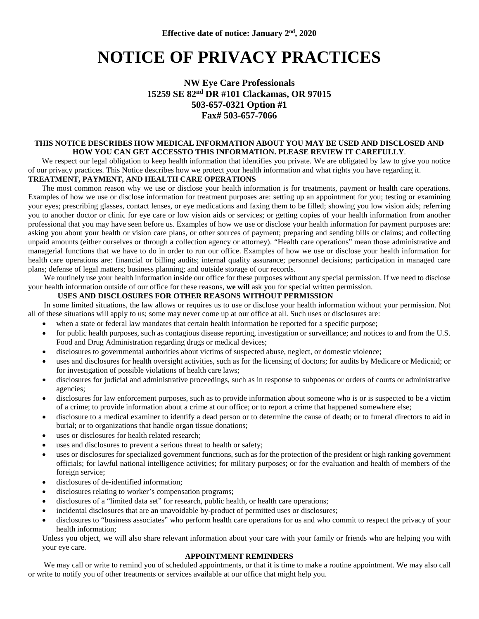# **NOTICE OF PRIVACY PRACTICES**

## **NW Eye Care Professionals 15259 SE 82nd DR #101 Clackamas, OR 97015 503-657-0321 Option #1 Fax# 503-657-7066**

#### **THIS NOTICE DESCRIBES HOW MEDICAL INFORMATION ABOUT YOU MAY BE USED AND DISCLOSED AND HOW YOU CAN GET ACCESSTO THIS INFORMATION. PLEASE REVIEW IT CAREFULLY**.

We respect our legal obligation to keep health information that identifies you private. We are obligated by law to give you notice of our privacy practices. This Notice describes how we protect your health information and what rights you have regarding it.

### **TREATMENT, PAYMENT, AND HEALTH CARE OPERATIONS**

 The most common reason why we use or disclose your health information is for treatments, payment or health care operations. Examples of how we use or disclose information for treatment purposes are: setting up an appointment for you; testing or examining your eyes; prescribing glasses, contact lenses, or eye medications and faxing them to be filled; showing you low vision aids; referring you to another doctor or clinic for eye care or low vision aids or services; or getting copies of your health information from another professional that you may have seen before us. Examples of how we use or disclose your health information for payment purposes are: asking you about your health or vision care plans, or other sources of payment; preparing and sending bills or claims; and collecting unpaid amounts (either ourselves or through a collection agency or attorney). "Health care operations" mean those administrative and managerial functions that we have to do in order to run our office. Examples of how we use or disclose your health information for health care operations are: financial or billing audits; internal quality assurance; personnel decisions; participation in managed care plans; defense of legal matters; business planning; and outside storage of our records.

We routinely use your health information inside our office for these purposes without any special permission. If we need to disclose your health information outside of our office for these reasons, **we will** ask you for special written permission.

### **USES AND DISCLOSURES FOR OTHER REASONS WITHOUT PERMISSION**

In some limited situations, the law allows or requires us to use or disclose your health information without your permission. Not all of these situations will apply to us; some may never come up at our office at all. Such uses or disclosures are:

- when a state or federal law mandates that certain health information be reported for a specific purpose;
- for public health purposes, such as contagious disease reporting, investigation or surveillance; and notices to and from the U.S. Food and Drug Administration regarding drugs or medical devices;
- disclosures to governmental authorities about victims of suspected abuse, neglect, or domestic violence;
- uses and disclosures for health oversight activities, such as for the licensing of doctors; for audits by Medicare or Medicaid; or for investigation of possible violations of health care laws;
- disclosures for judicial and administrative proceedings, such as in response to subpoenas or orders of courts or administrative agencies;
- disclosures for law enforcement purposes, such as to provide information about someone who is or is suspected to be a victim of a crime; to provide information about a crime at our office; or to report a crime that happened somewhere else;
- disclosure to a medical examiner to identify a dead person or to determine the cause of death; or to funeral directors to aid in burial; or to organizations that handle organ tissue donations;
- uses or disclosures for health related research;
- uses and disclosures to prevent a serious threat to health or safety;
- uses or disclosures for specialized government functions, such as for the protection of the president or high ranking government officials; for lawful national intelligence activities; for military purposes; or for the evaluation and health of members of the foreign service;
- disclosures of de-identified information;
- disclosures relating to worker's compensation programs;
- disclosures of a "limited data set" for research, public health, or health care operations;
- incidental disclosures that are an unavoidable by-product of permitted uses or disclosures;
- disclosures to "business associates" who perform health care operations for us and who commit to respect the privacy of your health information;

Unless you object, we will also share relevant information about your care with your family or friends who are helping you with your eye care.

#### **APPOINTMENT REMINDERS**

We may call or write to remind you of scheduled appointments, or that it is time to make a routine appointment. We may also call or write to notify you of other treatments or services available at our office that might help you.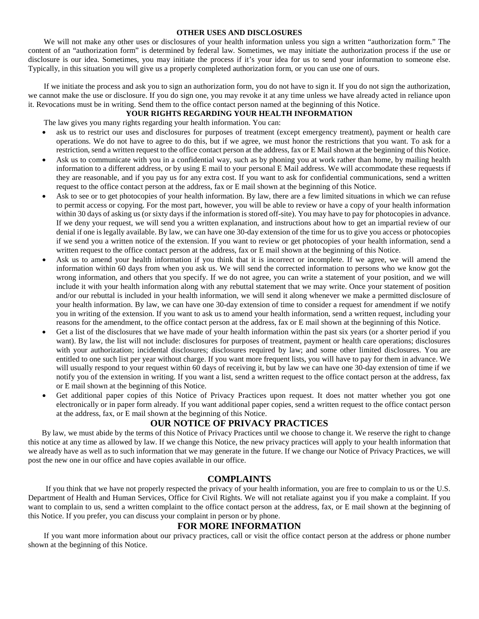#### **OTHER USES AND DISCLOSURES**

We will not make any other uses or disclosures of your health information unless you sign a written "authorization form." The content of an "authorization form" is determined by federal law. Sometimes, we may initiate the authorization process if the use or disclosure is our idea. Sometimes, you may initiate the process if it's your idea for us to send your information to someone else. Typically, in this situation you will give us a properly completed authorization form, or you can use one of ours.

 If we initiate the process and ask you to sign an authorization form, you do not have to sign it. If you do not sign the authorization, we cannot make the use or disclosure. If you do sign one, you may revoke it at any time unless we have already acted in reliance upon it. Revocations must be in writing. Send them to the office contact person named at the beginning of this Notice.

#### **YOUR RIGHTS REGARDING YOUR HEALTH INFORMATION**

The law gives you many rights regarding your health information. You can:

- ask us to restrict our uses and disclosures for purposes of treatment (except emergency treatment), payment or health care operations. We do not have to agree to do this, but if we agree, we must honor the restrictions that you want. To ask for a restriction, send a written request to the office contact person at the address, fax or E Mail shown at the beginning of this Notice.
- Ask us to communicate with you in a confidential way, such as by phoning you at work rather than home, by mailing health information to a different address, or by using E mail to your personal E Mail address. We will accommodate these requests if they are reasonable, and if you pay us for any extra cost. If you want to ask for confidential communications, send a written request to the office contact person at the address, fax or E mail shown at the beginning of this Notice.
- Ask to see or to get photocopies of your health information. By law, there are a few limited situations in which we can refuse to permit access or copying. For the most part, however, you will be able to review or have a copy of your health information within 30 days of asking us (or sixty days if the information is stored off-site). You may have to pay for photocopies in advance. If we deny your request, we will send you a written explanation, and instructions about how to get an impartial review of our denial if one is legally available. By law, we can have one 30-day extension of the time for us to give you access or photocopies if we send you a written notice of the extension. If you want to review or get photocopies of your health information, send a written request to the office contact person at the address, fax or E mail shown at the beginning of this Notice.
- Ask us to amend your health information if you think that it is incorrect or incomplete. If we agree, we will amend the information within 60 days from when you ask us. We will send the corrected information to persons who we know got the wrong information, and others that you specify. If we do not agree, you can write a statement of your position, and we will include it with your health information along with any rebuttal statement that we may write. Once your statement of position and/or our rebuttal is included in your health information, we will send it along whenever we make a permitted disclosure of your health information. By law, we can have one 30-day extension of time to consider a request for amendment if we notify you in writing of the extension. If you want to ask us to amend your health information, send a written request, including your reasons for the amendment, to the office contact person at the address, fax or E mail shown at the beginning of this Notice.
- Get a list of the disclosures that we have made of your health information within the past six years (or a shorter period if you want). By law, the list will not include: disclosures for purposes of treatment, payment or health care operations; disclosures with your authorization; incidental disclosures; disclosures required by law; and some other limited disclosures. You are entitled to one such list per year without charge. If you want more frequent lists, you will have to pay for them in advance. We will usually respond to your request within 60 days of receiving it, but by law we can have one 30-day extension of time if we notify you of the extension in writing. If you want a list, send a written request to the office contact person at the address, fax or E mail shown at the beginning of this Notice.
- Get additional paper copies of this Notice of Privacy Practices upon request. It does not matter whether you got one electronically or in paper form already. If you want additional paper copies, send a written request to the office contact person at the address, fax, or E mail shown at the beginning of this Notice.

**OUR NOTICE OF PRIVACY PRACTICES**<br>By law, we must abide by the terms of this Notice of Privacy Practices until we choose to change it. We reserve the right to change this notice at any time as allowed by law. If we change this Notice, the new privacy practices will apply to your health information that we already have as well as to such information that we may generate in the future. If we change our Notice of Privacy Practices, we will post the new one in our office and have copies available in our office.

**COMPLAINTS**<br>If you think that we have not properly respected the privacy of your health information, you are free to complain to us or the U.S. Department of Health and Human Services, Office for Civil Rights. We will not retaliate against you if you make a complaint. If you want to complain to us, send a written complaint to the office contact person at the address, fax, or E mail shown at the beginning of this Notice. If you prefer, you can discuss your complaint in person or by phone.

#### **FOR MORE INFORMATION**

 If you want more information about our privacy practices, call or visit the office contact person at the address or phone number shown at the beginning of this Notice.